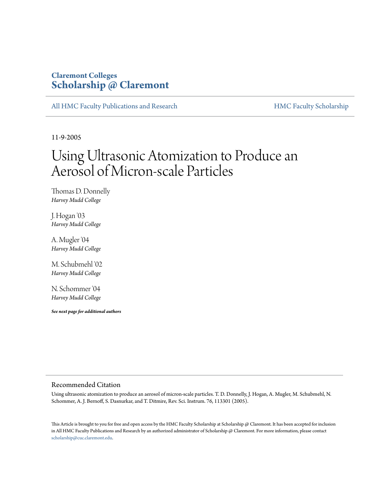# **Claremont Colleges [Scholarship @ Claremont](http://scholarship.claremont.edu)**

[All HMC Faculty Publications and Research](http://scholarship.claremont.edu/hmc_fac_pub) [HMC Faculty Scholarship](http://scholarship.claremont.edu/hmc_faculty)

11-9-2005

# Using Ultrasonic Atomization to Produce an Aerosol of Micron-scale Particles

Thomas D. Donnelly *Harvey Mudd College*

J. Hogan '03 *Harvey Mudd College*

A. Mugler '04 *Harvey Mudd College*

M. Schubmehl '02 *Harvey Mudd College*

N. Schommer '04 *Harvey Mudd College*

*See next page for additional authors*

## Recommended Citation

Using ultrasonic atomization to produce an aerosol of micron-scale particles. T. D. Donnelly, J. Hogan, A. Mugler, M. Schubmehl, N. Schommer, A. J. Bernoff, S. Dasnurkar, and T. Ditmire, Rev. Sci. Instrum. 76, 113301 (2005).

This Article is brought to you for free and open access by the HMC Faculty Scholarship at Scholarship @ Claremont. It has been accepted for inclusion in All HMC Faculty Publications and Research by an authorized administrator of Scholarship @ Claremont. For more information, please contact [scholarship@cuc.claremont.edu.](mailto:scholarship@cuc.claremont.edu)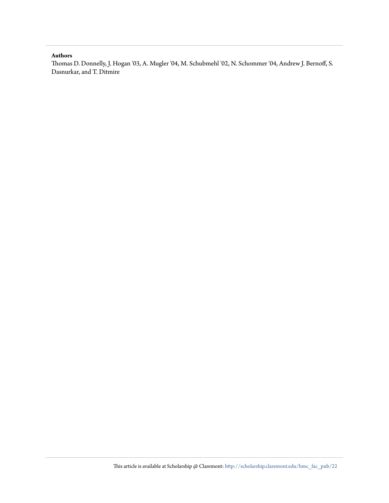### **Authors**

Thomas D. Donnelly, J. Hogan '03, A. Mugler '04, M. Schubmehl '02, N. Schommer '04, Andrew J. Bernoff, S. Dasnurkar, and T. Ditmire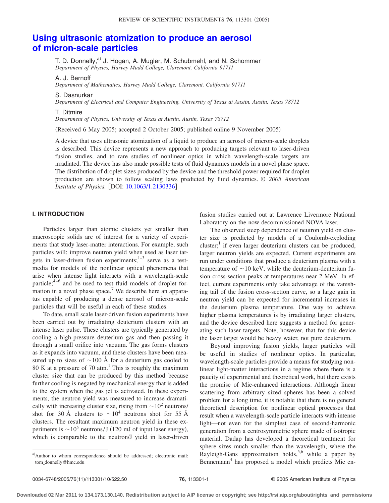## **[Using ultrasonic atomization to produce an aerosol](http://dx.doi.org/10.1063/1.2130336) [of micron-scale particles](http://dx.doi.org/10.1063/1.2130336)**

T. D. Donnelly,<sup>a)</sup> J. Hogan, A. Mugler, M. Schubmehl, and N. Schommer *Department of Physics, Harvey Mudd College, Claremont, California 91711*

A. J. Bernoff

*Department of Mathematics, Harvey Mudd College, Claremont, California 91711*

S. Dasnurkar

*Department of Electrical and Computer Engineering, University of Texas at Austin, Austin, Texas 78712*

#### T. Ditmire

*Department of Physics, University of Texas at Austin, Austin, Texas 78712*

Received 6 May 2005; accepted 2 October 2005; published online 9 November 2005-

A device that uses ultrasonic atomization of a liquid to produce an aerosol of micron-scale droplets is described. This device represents a new approach to producing targets relevant to laser-driven fusion studies, and to rare studies of nonlinear optics in which wavelength-scale targets are irradiated. The device has also made possible tests of fluid dynamics models in a novel phase space. The distribution of droplet sizes produced by the device and the threshold power required for droplet production are shown to follow scaling laws predicted by fluid dynamics. *© 2005 American Institute of Physics.* [DOI: [10.1063/1.2130336](http://dx.doi.org/10.1063/1.2130336)]

#### **I. INTRODUCTION**

Particles larger than atomic clusters yet smaller than macroscopic solids are of interest for a variety of experiments that study laser-matter interactions. For example, such particles will: improve neutron yield when used as laser targets in laser-driven fusion experiments;  $1-3$  serve as a testmedia for models of the nonlinear optical phenomena that arise when intense light interacts with a wavelength-scale particle; $4-6$  and be used to test fluid models of droplet formation in a novel phase space.<sup>7</sup> We describe here an apparatus capable of producing a dense aerosol of micron-scale particles that will be useful in each of these studies.

To date, small scale laser-driven fusion experiments have been carried out by irradiating deuterium clusters with an intense laser pulse. These clusters are typically generated by cooling a high-pressure deuterium gas and then passing it through a small orifice into vacuum. The gas forms clusters as it expands into vacuum, and these clusters have been measured up to sizes of  $\sim$ 100 Å for a deuterium gas cooled to 80 K at a pressure of 70  $\text{atm}^1$ . This is roughly the maximum cluster size that can be produced by this method because further cooling is negated by mechanical energy that is added to the system when the gas jet is activated. In these experiments, the neutron yield was measured to increase dramatically with increasing cluster size, rising from  $\sim 10^2$  neutrons/ shot for 30 Å clusters to  $\sim 10^4$  neutrons shot for 55 Å clusters. The resultant maximum neutron yield in these experiments is  $\sim$  10<sup>5</sup> neutrons/J (120 mJ of input laser energy), which is comparable to the neutron/J yield in laser-driven

fusion studies carried out at Lawrence Livermore National Laboratory on the now decommissioned NOVA laser.

The observed steep dependence of neutron yield on cluster size is predicted by models of a Coulomb-exploding  $cluster;$ <sup>1</sup> if even larger deuterium clusters can be produced, larger neutron yields are expected. Current experiments are run under conditions that produce a deuterium plasma with a temperature of  $\sim$ 10 keV, while the deuterium-deuterium fusion cross-section peaks at temperatures near 2 MeV. In effect, current experiments only take advantage of the vanishing tail of the fusion cross-section curve, so a large gain in neutron yield can be expected for incremental increases in the deuterium plasma temperature. One way to achieve higher plasma temperatures is by irradiating larger clusters, and the device described here suggests a method for generating such laser targets. Note, however, that for this device the laser target would be heavy water, not pure deuterium.

Beyond improving fusion yields, larger particles will be useful in studies of nonlinear optics. In particular, wavelength-scale particles provide a means for studying nonlinear light-matter interactions in a regime where there is a paucity of experimental and theoretical work, but there exists the promise of Mie-enhanced interactions. Although linear scattering from arbitrary sized spheres has been a solved problem for a long time, it is notable that there is no general theoretical description for nonlinear optical processes that result when a wavelength-scale particle interacts with intense light—not even for the simplest case of second-harmonic generation from a centrosymmetric sphere made of isotropic material. Dadap has developed a theoretical treatment for sphere sizes much smaller than the wavelength, where the Rayleigh-Gans approximation holds,<sup>5,6</sup> while a paper by Bennemann<sup>4</sup> has proposed a model which predicts Mie en-

a)Author to whom correspondence should be addressed; electronic mail: tom\_donnelly@hmc.edu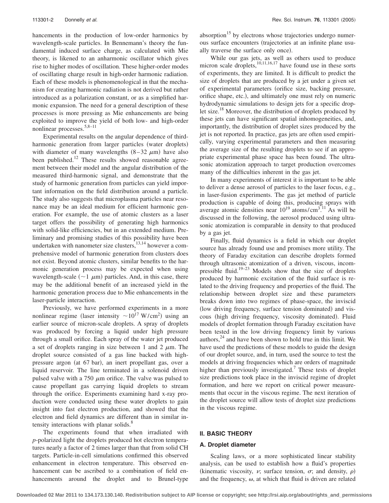hancements in the production of low-order harmonics by wavelength-scale particles. In Bennemann's theory the fundamental induced surface charge, as calculated with Mie theory, is likened to an anharmonic oscillator which gives rise to higher modes of oscillation. These higher-order modes of oscillating charge result in high-order harmonic radiation. Each of these models is phenomenological in that the mechanism for creating harmonic radiation is not derived but rather introduced as a polarization constant, or as a simplified harmonic expansion. The need for a general description of these processes is more pressing as Mie enhancements are being exploited to improve the yield of both low- and high-order nonlinear processes.5,8–11

Experimental results on the angular dependence of thirdharmonic generation from larger particles (water droplets) with diameter of many wavelengths  $(8-32 \mu m)$  have also been published.<sup>12</sup> These results showed reasonable agreement between their model and the angular distribution of the measured third-harmonic signal, and demonstrate that the study of harmonic generation from particles can yield important information on the field distribution around a particle. The study also suggests that microplasma particles near resonance may be an ideal medium for efficient harmonic generation. For example, the use of atomic clusters as a laser target offers the possibility of generating high harmonics with solid-like efficiencies, but in an extended medium. Preliminary and promising studies of this possibility have been undertaken with nanometer size clusters,  $13,14$  however a comprehensive model of harmonic generation from clusters does not exist. Beyond atomic clusters, similar benefits to the harmonic generation process may be expected when using wavelength-scale  $(\sim 1 \mu m)$  particles. And, in this case, there may be the additional benefit of an increased yield in the harmonic generation process due to Mie enhancements in the laser-particle interaction.

Previously, we have performed experiments in a more nonlinear regime (laser intensity  $\sim 10^{17}$  W/cm<sup>2</sup>) using an earlier source of micron-scale droplets. A spray of droplets was produced by forcing a liquid under high pressure through a small orifice. Each spray of the water jet produced a set of droplets ranging in size between 1 and 2  $\mu$ m. The droplet source consisted of a gas line backed with highpressure argon (at 67 bar), an inert propellant gas, over a liquid reservoir. The line terminated in a solenoid driven pulsed valve with a 750  $\mu$ m orifice. The valve was pulsed to cause propellant gas carrying liquid droplets to stream through the orifice. Experiments examining hard x-ray production were conducted using these water droplets to gain insight into fast electron production, and showed that the electron and field dynamics are different than in similar intensity interactions with planar solids.<sup>8</sup>

The experiments found that when irradiated with *p*-polarized light the droplets produced hot electron temperatures nearly a factor of 2 times larger than that from solid CH targets. Particle-in-cell simulations confirmed this observed enhancement in electron temperature. This observed enhancement can be ascribed to a combination of field enhancements around the droplet and to Brunel-type absorption<sup>15</sup> by electrons whose trajectories undergo numerous surface encounters (trajectories at an infinite plane usually traverse the surface only once).

While our gas jets, as well as others used to produce micron scale droplets, $10,11,16,17$  have found use in these sorts of experiments, they are limited. It is difficult to predict the size of droplets that are produced by a jet under a given set of experimental parameters (orifice size, backing pressure, orifice shape, etc.), and ultimately one must rely on numeric hydrodynamic simulations to design jets for a specific droplet size.<sup>18</sup> Moreover, the distribution of droplets produced by these jets can have significant spatial inhomogeneities, and, importantly, the distribution of droplet sizes produced by the jet is not reported. In practice, gas jets are often used empirically, varying experimental parameters and then measuring the average size of the resulting droplets to see if an appropriate experimental phase space has been found. The ultrasonic atomization approach to target production overcomes many of the difficulties inherent in the gas jet.

In many experiments of interest it is important to be able to deliver a dense aerosol of particles to the laser focus, e.g., in laser-fusion experiments. The gas jet method of particle production is capable of doing this, producing sprays with average atomic densities near  $10^{19}$  atoms/cm<sup>3.11</sup> As will be discussed in the following, the aerosol produced using ultrasonic atomization is comparable in density to that produced by a gas jet.

Finally, fluid dynamics is a field in which our droplet source has already found use and promises more utility. The theory of Faraday excitation can describe droplets formed through ultrasonic atomization of a driven, viscous, incompressible fluid.<sup>19–23</sup> Models show that the size of droplets produced by harmonic excitation of the fluid surface is related to the driving frequency and properties of the fluid. The relationship between droplet size and these parameters breaks down into two regimes of phase-space, the inviscid (low driving frequency, surface tension dominated) and viscous (high driving frequency, viscosity dominated). Fluid models of droplet formation through Faraday excitation have been tested in the low driving frequency limit by various authors,  $24$  and have been shown to hold true in this limit. We have used the predictions of these models to guide the design of our droplet source, and, in turn, used the source to test the models at driving frequencies which are orders of magnitude higher than previously investigated.<sup> $\prime$ </sup> These tests of droplet size predictions took place in the inviscid regime of droplet formation, and here we report on critical power measurements that occur in the viscous regime. The next iteration of the droplet source will allow tests of droplet size predictions in the viscous regime.

#### **II. BASIC THEORY**

#### **A. Droplet diameter**

Scaling laws, or a more sophisticated linear stability analysis, can be used to establish how a fluid's properties (kinematic viscosity,  $\nu$ ; surface tension,  $\sigma$ ; and density,  $\rho$ ) and the frequency,  $\omega$ , at which that fluid is driven are related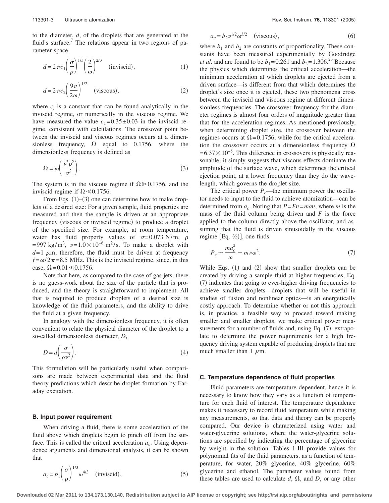to the diameter, *d*, of the droplets that are generated at the fluid's surface.<sup>7</sup> The relations appear in two regions of parameter space,

$$
d = 2\pi c_1 \left(\frac{\sigma}{\rho}\right)^{1/3} \left(\frac{2}{\omega}\right)^{2/3} \quad \text{(invisible)},\tag{1}
$$

$$
d = 2\pi c_2 \left(\frac{9\nu}{2\omega}\right)^{1/2} \quad \text{(viscous)},\tag{2}
$$

where  $c_i$  is a constant that can be found analytically in the inviscid regime, or numerically in the viscous regime. We have measured the value  $c_1 = 0.35 \pm 0.03$  in the inviscid regime, consistent with calculations. The crossover point between the inviscid and viscous regimes occurs at a dimensionless frequency,  $\Omega$  equal to 0.1756, where the dimensionless frequency is defined as

$$
\Omega = \omega \left( \frac{\nu^3 \rho^2}{\sigma^2} \right). \tag{3}
$$

The system is in the viscous regime if  $\Omega \ge 0.1756$ , and the inviscid regime if  $\Omega \le 0.1756$ .

From Eqs.  $(1)$ – $(3)$  one can determine how to make droplets of a desired size: For a given sample, fluid properties are measured and then the sample is driven at an appropriate frequency (viscous or inviscid regime) to produce a droplet of the specified size. For example, at room temperature, water has fluid property values of  $\sigma = 0.073$  N/m,  $\rho$  $= 997 \text{ kg/m}^3$ ,  $\nu = 1.0 \times 10^{-6} \text{ m}^2/\text{s}$ . To make a droplet with  $d=1$   $\mu$ m, therefore, the fluid must be driven at frequency  $f = \omega/2\pi = 8.5$  MHz. This is the inviscid regime, since, in this case,  $\Omega = 0.01 \le 0.1756$ .

Note that here, as compared to the case of gas jets, there is no guess-work about the size of the particle that is produced, and the theory is straightforward to implement. All that is required to produce droplets of a desired size is knowledge of the fluid parameters, and the ability to drive the fluid at a given frequency.

In analogy with the dimensionless frequency, it is often convenient to relate the physical diameter of the droplet to a so-called dimensionless diameter, *D*,

$$
D = d\left(\frac{\sigma}{\rho v^2}\right).
$$
 (4)

This formulation will be particularly useful when comparisons are made between experimental data and the fluid theory predictions which describe droplet formation by Faraday excitation.

#### **B. Input power requirement**

When driving a fluid, there is some acceleration of the fluid above which droplets begin to pinch off from the surface. This is called the critical acceleration  $a_c$ . Using dependence arguments and dimensional analysis, it can be shown that

$$
a_c = b_1 \left(\frac{\sigma}{\rho}\right)^{1/3} \omega^{4/3} \quad \text{(invisible)},\tag{5}
$$

$$
a_c = b_2 \nu^{1/2} \omega^{3/2} \quad \text{(viscous)},\tag{6}
$$

where  $b_1$  and  $b_2$  are constants of proportionality. These constants have been measured experimentally by Goodridge *et al.* and are found to be  $b_1 = 0.261$  and  $b_2 = 1.306^{23}$  Because the physics which determines the critical acceleration—the minimum acceleration at which droplets are ejected from a driven surface—is different from that which determines the droplet's size once it is ejected, these two phenomena cross between the inviscid and viscous regime at different dimensionless frequencies. The crossover frequency for the diameter regimes is almost four orders of magnitude greater than that for the acceleration regimes. As mentioned previously, when determining droplet size, the crossover between the regimes occurs at  $\Omega = 0.1756$ , while for the critical acceleration the crossover occurs at a dimensionless frequency  $\Omega$  $= 6.37 \times 10^{-5}$ . This difference in crossovers is physically reasonable; it simply suggests that viscous effects dominate the amplitude of the surface wave, which determines the critical ejection point, at a lower frequency than they do the wavelength, which governs the droplet size.

The critical power  $P_c$ —the minimum power the oscillator needs to input to the fluid to achieve atomization—can be determined from  $a_c$ . Noting that  $P = Fv = ma v$ , where *m* is the mass of the fluid column being driven and *F* is the force applied to the column directly above the oscillator, and assuming that the fluid is driven sinusoidally in the viscous regime [Eq. (6)], one finds

$$
P_c \sim \frac{ma_c^2}{\omega} \sim m\nu\omega^2. \tag{7}
$$

While Eqs.  $(1)$  and  $(2)$  show that smaller droplets can be created by driving a sample fluid at higher frequencies, Eq. (7) indicates that going to ever-higher driving frequencies to achieve smaller droplets—droplets that will be useful in studies of fusion and nonlinear optics—is an energetically costly approach. To determine whether or not this approach is, in practice, a feasible way to proceed toward making smaller and smaller droplets, we make critical power measurements for a number of fluids and, using Eq. (7), extrapolate to determine the power requirements for a high frequency driving system capable of producing droplets that are much smaller than 1  $\mu$ m.

#### **C. Temperature dependence of fluid properties**

Fluid parameters are temperature dependent, hence it is necessary to know how they vary as a function of temperature for each fluid of interest. The temperature dependence makes it necessary to record fluid temperature while making any measurements, so that data and theory can be properly compared. Our device is characterized using water and water-glycerine solutions, where the water-glycerine solutions are specified by indicating the percentage of glycerine by weight in the solution. Tables I–III provide values for polynomial fits of the fluid parameters, as a function of temperature, for water, 20% glycerine, 40% glycerine, 60% glycerine and ethanol. The parameter values found from these tables are used to calculate  $d$ ,  $\Omega$ , and  $D$ , or any other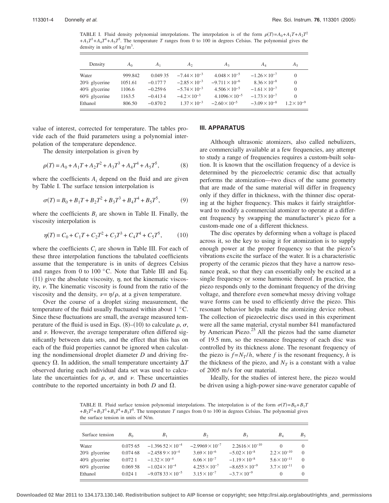TABLE I. Fluid density polynomial interpolations. The interpolation is of the form  $\rho(T) = A_0 + A_1 T + A_2 T^2$  $+A_3T^3+A_4T^4+A_5T^5$ . The temperature *T* ranges from 0 to 100 in degrees Celsius. The polynomial gives the density in units of  $\text{kg/m}^3$ .

| Density       | $A_0$   | $A_1$     | $A_{2}$                | A <sub>3</sub>          | $A_4$                  | $A_5$                |
|---------------|---------|-----------|------------------------|-------------------------|------------------------|----------------------|
| Water         | 999.842 | 0.049 35  | $-7.44 \times 10^{-3}$ | $4.048 \times 10^{-5}$  | $-1.26 \times 10^{-7}$ | $\theta$             |
| 20% glycerine | 1051.61 | $-0.1777$ | $-2.85 \times 10^{-3}$ | $-9.711 \times 10^{-6}$ | $8.36 \times 10^{-8}$  | $\Omega$             |
| 40% glycerine | 1106.6  | $-0.2596$ | $-5.74 \times 10^{-3}$ | $4.506 \times 10^{-5}$  | $-1.61 \times 10^{-7}$ | $\Omega$             |
| 60% glycerine | 1163.5  | $-0.4134$ | $-4.2 \times 10^{-3}$  | $4.1096 \times 10^{-5}$ | $-1.73 \times 10^{-7}$ | $\Omega$             |
| Ethanol       | 806.50  | $-0.8702$ | $1.37 \times 10^{-3}$  | $-2.60 \times 10^{-5}$  | $-3.09 \times 10^{-8}$ | $1.2 \times 10^{-9}$ |

value of interest, corrected for temperature. The tables provide each of the fluid parameters using a polynomial interpolation of the temperature dependence.

The density interpolation is given by

$$
\rho(T) = A_0 + A_1 T + A_2 T^2 + A_3 T^3 + A_4 T^4 + A_5 T^5, \tag{8}
$$

where the coefficients *Ai* depend on the fluid and are given by Table I. The surface tension interpolation is

$$
\sigma(T) = B_0 + B_1 T + B_2 T^2 + B_3 T^3 + B_4 T^4 + B_5 T^5, \tag{9}
$$

where the coefficients  $B_i$  are shown in Table II. Finally, the viscosity interpolation is

$$
\eta(T) = C_0 + C_1 T + C_2 T^2 + C_3 T^3 + C_4 T^4 + C_5 T^5, \qquad (10)
$$

where the coefficients  $C_i$  are shown in Table III. For each of these three interpolation functions the tabulated coefficients assume that the temperature is in units of degrees Celsius and ranges from 0 to 100 °C. Note that Table III and Eq. (11) give the absolute viscosity,  $\eta$ , not the kinematic viscosity,  $\nu$ . The kinematic viscosity is found from the ratio of the viscosity and the density,  $\nu = \eta/\rho$ , at a given temperature.

Over the course of a droplet sizing measurement, the temperature of the fluid usually fluctuated within about 1 °C. Since these fluctuations are small, the average measured temperature of the fluid is used in Eqs. (8)–(10) to calculate  $\rho$ ,  $\sigma$ , and  $\nu$ . However, the average temperature often differed significantly between data sets, and the effect that this has on each of the fluid properties cannot be ignored when calculating the nondimensional droplet diameter *D* and driving frequency  $\Omega$ . In addition, the small temperature uncertainty  $\Delta T$ observed during each individual data set was used to calculate the uncertainties for  $\rho$ ,  $\sigma$ , and  $\nu$ . These uncertainties contribute to the reported uncertainty in both  $D$  and  $\Omega$ .

#### **III. APPARATUS**

Although ultrasonic atomizers, also called nebulizers, are commercially available at a few frequencies, any attempt to study a range of frequencies requires a custom-built solution. It is known that the oscillation frequency of a device is determined by the piezoelectric ceramic disc that actually performs the atomization—two discs of the same geometry that are made of the same material will differ in frequency only if they differ in thickness, with the thinner disc operating at the higher frequency. This makes it fairly straightforward to modify a commercial atomizer to operate at a different frequency by swapping the manufacturer's piezo for a custom-made one of a different thickness.

The disc operates by deforming when a voltage is placed across it, so the key to using it for atomization is to supply enough power at the proper frequency so that the piezo"s vibrations excite the surface of the water. It is a characteristic property of the ceramic piezos that they have a narrow resonance peak, so that they can essentially only be excited at a single frequency or some harmonic thereof. In practice, the piezo responds only to the dominant frequency of the driving voltage, and therefore even somewhat messy driving voltage wave forms can be used to efficiently drive the piezo. This resonant behavior helps make the atomizing device robust. The collection of piezoelectric discs used in this experiment were all the same material, crystal number 841 manufactured by American Piezo.<sup>25</sup> All the piezos had the same diameter of 19.5 mm, so the resonance frequency of each disc was controlled by its thickness alone. The resonant frequency of the piezo is  $f = N_T/h$ , where f is the resonant frequency, h is the thickness of the piezo, and  $N_T$  is a constant with a value of 2005 m/s for our material.

Ideally, for the studies of interest here, the piezo would be driven using a high-power sine-wave generator capable of

TABLE II. Fluid surface tension polynomial interpolations. The interpolation is of the form  $\sigma(T) = B_0 + B_1T$  $+B_2T^2+B_3T^3+B_4T^4+B_5T^5$ . The temperature *T* ranges from 0 to 100 in degrees Celsius. The polynomial gives the surface tension in units of N/m.

| Surface tension | $B_0$    | $B_1$                     | $B_{2}$                  | $B_3$                    | $B_4$                 | $B_5$    |
|-----------------|----------|---------------------------|--------------------------|--------------------------|-----------------------|----------|
| Water           | 0.07565  | $-1.39652\times10^{-4}$   | $-2.9969 \times 10^{-7}$ | $2.2616 \times 10^{-10}$ |                       |          |
| 20% glycerine   | 0.074 68 | $-2.4589 \times 10^{-4}$  | $3.69 \times 10^{-6}$    | $-5.02 \times 10^{-8}$   | $2.2 \times 10^{-10}$ | $\Omega$ |
| 40% glycerine   | 0.0721   | $-1.32 \times 10^{-4}$    | $6.06 \times 10^{-7}$    | $-1.19 \times 10^{-8}$   | $5.6 \times 10^{-11}$ | $\Omega$ |
| 60% glycerine   | 0.06958  | $-1.024 \times 10^{-4}$   | $4.255 \times 10^{-7}$   | $-8.655 \times 10^{-9}$  | $3.7 \times 10^{-11}$ | $\Omega$ |
| Ethanol         | 0.0241   | $-9.07833 \times 10^{-5}$ | $3.15 \times 10^{-7}$    | $-3.7 \times 10^{-9}$    | $\Omega$              | $\Omega$ |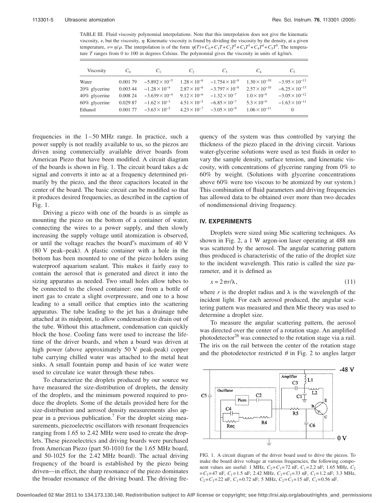TABLE III. Fluid viscosity polynomial interpolations. Note that this interpolation does not give the kinematic viscosity,  $\nu$ , but the viscosity,  $\eta$ . Kinematic viscosity is found by dividing the viscosity by the density, at a given temperature,  $\nu = \frac{\eta}{\rho}$ . The interpolation is of the form  $\eta(T) = C_0 + C_1 T + C_2 T^2 + C_3 T^3 + C_4 T^4 + C_5 T^5$ . The temperature *T* ranges from 0 to 100 in degrees Celsius. The polynomial gives the viscosity in units of kg/m/s.

| <b>Viscosity</b> | $C_0$    | $C_1$                   | $\mathcal{C}_{2}$     | $C_3$                                                                | $C_4$                  | $C_5$                   |
|------------------|----------|-------------------------|-----------------------|----------------------------------------------------------------------|------------------------|-------------------------|
| Water            | 0.001 79 | $-5.892 \times 10^{-5}$ |                       | $1.28 \times 10^{-6}$ $-1.754 \times 10^{-8}$ $1.30 \times 10^{-10}$ |                        | $-3.95 \times 10^{-13}$ |
| 20% glycerine    | 0.00344  | $-1.28 \times 10^{-4}$  | $2.87 \times 10^{-6}$ | $-3.797 \times 10^{-8}$                                              | $2.57 \times 10^{-10}$ | $-6.25 \times 10^{-13}$ |
| 40% glycerine    | 0.00824  | $-3.639 \times 10^{-4}$ | $9.12 \times 10^{-6}$ | $-1.32 \times 10^{-7}$                                               | $1.0 \times 10^{-9}$   | $-3.05 \times 10^{-12}$ |
| 60% glycerine    | 0.029 87 | $-1.62 \times 10^{-3}$  | $4.51 \times 10^{-5}$ | $-6.85 \times 10^{-7}$                                               | $5.3 \times 10^{-9}$   | $-1.63 \times 10^{-11}$ |
| Ethanol          | 0.001 77 | $-3.63 \times 10^{-5}$  | $4.23 \times 10^{-7}$ | $-3.05 \times 10^{-9}$                                               | $1.06 \times 10^{-11}$ | $\Omega$                |

frequencies in the  $1-50$  MHz range. In practice, such a power supply is not readily available to us, so the piezos are driven using commercially available driver boards from American Piezo that have been modified. A circuit diagram of the boards is shown in Fig. 1. The circuit board takes a dc signal and converts it into ac at a frequency determined primarily by the piezo, and the three capacitors located in the center of the board. The basic circuit can be modified so that it produces desired frequencies, as described in the caption of Fig. 1.

Driving a piezo with one of the boards is as simple as mounting the piezo on the bottom of a container of water, connecting the wires to a power supply, and then slowly increasing the supply voltage until atomization is observed, or until the voltage reaches the board"s maximum of 40 V (80 V peak–peak). A plastic container with a hole in the bottom has been mounted to one of the piezo holders using waterproof aquarium sealant. This makes it fairly easy to contain the aerosol that is generated and direct it into the sizing apparatus as needed. Two small holes allow tubes to be connected to the closed container: one from a bottle of inert gas to create a slight overpressure, and one to a hose leading to a small orifice that empties into the scattering apparatus. The tube leading to the jet has a drainage tube attached at its midpoint, to allow condensation to drain out of the tube. Without this attachment, condensation can quickly block the hose. Cooling fans were used to increase the lifetime of the driver boards, and when a board was driven at high power (above approximately 50 V peak-peak) copper tube carrying chilled water was attached to the metal heat sinks. A small fountain pump and basin of ice water were used to circulate ice water through these tubes.

To characterize the droplets produced by our source we have measured the size-distribution of droplets, the density of the droplets, and the minimum powered required to produce the droplets. Some of the details provided here for the size-distribution and aerosol density measurements also appear in a previous publication.<sup>7</sup> For the droplet sizing measurements, piezoelectric oscillators with resonant frequencies ranging from 1.65 to 2.42 MHz were used to create the droplets. These piezoelectrics and driving boards were purchased from American Piezo (part 50-1010 for the 1.65 MHz board, and 50-1025 for the 2.42 MHz board). The actual driving frequency of the board is established by the piezo being driven—in effect, the sharp resonance of the piezo dominates the broader resonance of the driving board. The driving frequency of the system was thus controlled by varying the thickness of the piezo placed in the driving circuit. Various water-glycerine solutions were used as test fluids in order to vary the sample density, surface tension, and kinematic viscosity, with concentrations of glycerine ranging from 0% to 60% by weight. (Solutions with glycerine concentrations above 60% were too viscous to be atomized by our system.) This combination of fluid parameters and driving frequencies has allowed data to be obtained over more than two decades of nondimensional driving frequency.

#### **IV. EXPERIMENTS**

Droplets were sized using Mie scattering techniques. As shown in Fig. 2, a 1 W argon-ion laser operating at 488 nm was scattered by the aerosol. The angular scattering pattern thus produced is characteristic of the ratio of the droplet size to the incident wavelength. This ratio is called the size parameter, and it is defined as

$$
x = 2\pi r/\lambda, \tag{11}
$$

where  $r$  is the droplet radius and  $\lambda$  is the wavelength of the incident light. For each aerosol produced, the angular scattering pattern was measured and then Mie theory was used to determine a droplet size.

To measure the angular scattering pattern, the aerosol was directed over the center of a rotation stage. An amplified photodetector<sup>26</sup> was connected to the rotation stage via a rail. The iris on the rail between the center of the rotation stage and the photodetector restricted  $\theta$  in Fig. 2 to angles larger



FIG. 1. A circuit diagram of the driver board used to drive the piezos. To make the board drive voltage at various frequencies, the following component values are useful: 1 MHz,  $C_2 = C_3 = 72$  nF,  $C_1 = 2.2$  nF; 1.65 MHz,  $C_2$  $=C_3 = 47$  nF,  $C_1 = 1.5$  nF; 2.42 MHz,  $C_2 = C_3 = 33$  nF,  $C_1 = 1.2$  nF; 3.3 MHz,  $C_2 = C_3 = 22$  nF,  $C_1 = 0.72$  nF; 5 MHz,  $C_2 = C_3 = 15$  nF,  $C_1 = 0.56$  nF.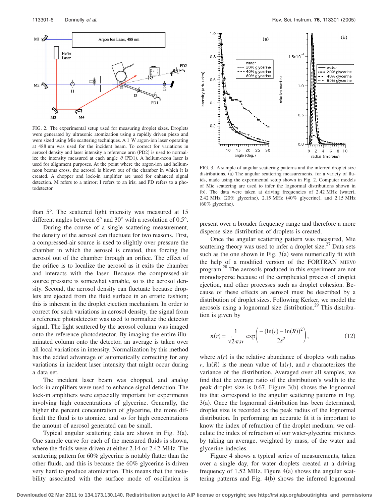

FIG. 2. The experimental setup used for measuring droplet sizes. Droplets were generated by ultrasonic atomization using a rapidly driven piezo and were sized using Mie scattering techniques. A 1 W argon-ion laser operating at 488 nm was used for the incident beam. To correct for variations in aerosol density and laser intensity a reference arm (PD2) is used to normalize the intensity measured at each angle  $\theta$  (PD1). A helium-neon laser is used for alignment purposes. At the point where the argon-ion and heliumneon beams cross, the aerosol is blown out of the chamber in which it is created. A chopper and lock-in amplifier are used for enhanced signal detection. M refers to a mirror; I refers to an iris; and PD refers to a photodetector.

than 5°. The scattered light intensity was measured at 15 different angles between 6° and 30° with a resolution of 0.5°.

During the course of a single scattering measurement, the density of the aerosol can fluctuate for two reasons. First, a compressed-air source is used to slightly over pressure the chamber in which the aerosol is created, thus forcing the aerosol out of the chamber through an orifice. The effect of the orifice is to localize the aerosol as it exits the chamber and interacts with the laser. Because the compressed-air source pressure is somewhat variable, so is the aerosol density. Second, the aerosol density can fluctuate because droplets are ejected from the fluid surface in an erratic fashion; this is inherent in the droplet ejection mechanism. In order to correct for such variations in aerosol density, the signal from a reference photodetector was used to normalize the detector signal. The light scattered by the aerosol column was imaged onto the reference photodetector. By imaging the entire illuminated column onto the detector, an average is taken over all local variations in intensity. Normalization by this method has the added advantage of automatically correcting for any variations in incident laser intensity that might occur during a data set.

The incident laser beam was chopped, and analog lock-in amplifiers were used to enhance signal detection. The lock-in amplifiers were especially important for experiments involving high concentrations of glycerine. Generally, the higher the percent concentration of glycerine, the more difficult the fluid is to atomize, and so for high concentrations the amount of aerosol generated can be small.

Typical angular scattering data are shown in Fig.  $3(a)$ . One sample curve for each of the measured fluids is shown, where the fluids were driven at either 2.14 or 2.42 MHz. The scattering pattern for 60% glycerine is notably flatter than the other fluids, and this is because the 60% glycerine is driven very hard to produce atomization. This means that the instability associated with the surface mode of oscillation is



FIG. 3. A sample of angular scattering patterns and the inferred droplet size distributions. (a) The angular scattering measurements, for a variety of fluids, made using the experimental setup shown in Fig. 2. Computer models of Mie scattering are used to infer the lognormal distributions shown in (b). The data were taken at driving frequencies of 2.42 MHz (water), 2.42 MHz (20% glycerine), 2.15 MHz (40% glycerine), and 2.15 MHz (60% glycerine).

present over a broader frequency range and therefore a more disperse size distribution of droplets is created.

Once the angular scattering pattern was measured, Mie scattering theory was used to infer a droplet size.<sup>27</sup> Data sets such as the one shown in Fig.  $3(a)$  were numerically fit with the help of a modified version of the FORTRAN MIEV0 program.<sup>28</sup> The aerosols produced in this experiment are not monodisperse because of the complicated process of droplet ejection, and other processes such as droplet cohesion. Because of these effects an aerosol must be described by a distribution of droplet sizes. Following Kerker, we model the aerosols using a lognormal size distribution.<sup>29</sup> This distribution is given by

$$
n(r) = \frac{1}{\sqrt{2\pi}sr} \exp\left(\frac{-(\ln(r) - \ln(R))^2}{2s^2}\right),
$$
 (12)

where  $n(r)$  is the relative abundance of droplets with radius  $r$ ,  $\ln(R)$  is the mean value of  $\ln(r)$ , and *s* characterizes the variance of the distribution. Averaged over all samples, we find that the average ratio of the distribution's width to the peak droplet size is  $0.67$ . Figure  $3(b)$  shows the lognormal fits that correspond to the angular scattering patterns in Fig. 3(a). Once the lognormal distribution has been determined, droplet size is recorded as the peak radius of the lognormal distribution. In performing an accurate fit it is important to know the index of refraction of the droplet medium; we calculate the index of refraction of our water-glycerine mixtures by taking an average, weighted by mass, of the water and glycerine indecies.

Figure 4 shows a typical series of measurements, taken over a single day, for water droplets created at a driving frequency of 1.52 MHz. Figure  $4(a)$  shows the angular scattering patterns and Fig. 4(b) shows the inferred lognormal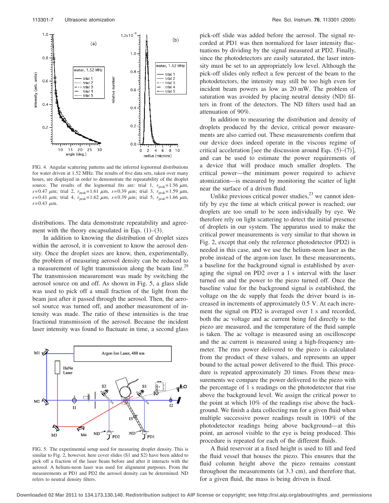

FIG. 4. Angular scattering patterns and the inferred lognormal distributions for water driven at 1.52 MHz. The results of five data sets, taken over many hours, are displayed in order to demonstrate the repeatability of the droplet source. The results of the lognormal fits are: trial 1,  $r_{\text{peak}} = 1.56 \ \mu \text{m}$ ,  $s = 0.47 \mu m$ ; trial 2,  $r_{peak} = 1.61 \mu m$ ,  $s = 0.39 \mu m$ ; trial 3,  $r_{peak} = 1.59 \mu m$ ,  $s = 0.41 \mu m$ ; trial 4,  $r_{peak} = 1.62 \mu m$ ,  $s = 0.39 \mu m$ ; trial 5,  $r_{peak} = 1.66 \mu m$ ,  $s = 0.43 \mu m$ .

distributions. The data demonstrate repeatability and agreement with the theory encapsulated in Eqs.  $(1)$ – $(3)$ .

In addition to knowing the distribution of droplet sizes within the aerosol, it is convenient to know the aerosol density. Once the droplet sizes are know, then, experimentally, the problem of measuring aerosol density can be reduced to a measurement of light transmission along the beam line.<sup>29</sup> The transmission measurement was made by switching the aerosol source on and off. As shown in Fig. 5, a glass slide was used to pick off a small fraction of the light from the beam just after it passed through the aerosol. Then, the aerosol source was turned off, and another measurement of intensity was made. The ratio of these intensities is the true fractional transmission of the aerosol. Because the incident laser intensity was found to fluctuate in time, a second glass



FIG. 5. The experimental setup used for measuring droplet density. This is similar to Fig. 2, however, here cover slides (S1 and S2) have been added to pick off a fraction of the laser beam before and after it interacts with the aerosol. A helium-neon laser was used for alignment purposes. From the measurements at PD1 and PD2 the aerosol density can be determined. ND refers to neutral density filters.

pick-off slide was added before the aerosol. The signal recorded at PD1 was then normalized for laser intensity fluctuations by dividing by the signal measured at PD2. Finally, since the photodetectors are easily saturated, the laser intensity must be set to an appropriately low level. Although the pick-off slides only reflect a few percent of the beam to the photodetectors, the intensity may still be too high even for incident beam powers as low as 20 mW. The problem of saturation was avoided by placing neutral density (ND) filters in front of the detectors. The ND filters used had an attenuation of 90%.

In addition to measuring the distribution and density of droplets produced by the device, critical power measurements are also carried out. These measurements confirm that our device does indeed operate in the viscous regime of critical acceleration [see the discussion around Eqs.  $(5)-(7)$ ], and can be used to estimate the power requirements of a device that will produce much smaller droplets. The critical power—the minimum power required to achieve atomization—is measured by monitoring the scatter of light near the surface of a driven fluid.

Unlike previous critical power studies,  $2<sup>3</sup>$  we cannot identify by eye the time at which critical power is reached; our droplets are too small to be seen individually by eye. We therefore rely on light scattering to detect the initial presence of droplets in our system. The apparatus used to make the critical power measurements is very similar to that shown in Fig. 2, except that only the reference photodetector (PD2) is needed in this case, and we use the helium-neon laser as the probe instead of the argon-ion laser. In these measurements, a baseline for the background signal is established by averaging the signal on PD2 over a 1 s interval with the laser turned on and the power to the piezo turned off. Once the baseline value for the background signal is established, the voltage on the dc supply that feeds the driver board is increased in increments of approximately 0.5 V. At each increment the signal on PD2 is averaged over 1 s and recorded, both the ac voltage and ac current being fed directly to the piezo are measured, and the temperature of the fluid sample is taken. The ac voltage is measured using an oscilloscope and the ac current is measured using a high-frequency ammeter. The rms power delivered to the piezo is calculated from the product of these values, and represents an upper bound to the actual power delivered to the fluid. This procedure is repeated approximately 20 times. From these measurements we compare the power delivered to the piezo with the percentage of 1 s readings on the photodetector that rise above the background level. We assign the critical power to the point at which 10% of the readings rise above the background. We finish a data collecting run for a given fluid when multiple successive power readings result in 100% of the photodetector readings being above background—at this point, an aerosol visible to the eye is being produced. This procedure is repeated for each of the different fluids.

A fluid reservoir at a fixed height is used to fill and feed the fluid vessel that houses the piezo. This ensures that the fluid column height above the piezo remains constant throughout the measurements (at 3.3 cm), and therefore that, for a given fluid, the mass is being driven is fixed.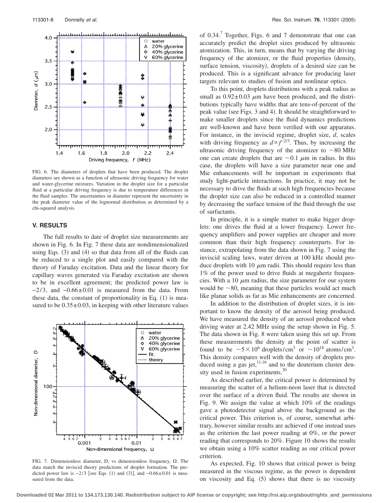

FIG. 6. The diameters of droplets that have been produced. The droplet diameters are shown as a function of ultrasonic driving frequency for water and water-glycerine mixtures. Variation in the droplet size for a particular fluid at a particular driving frequency is due to temperature differences in the fluid samples. The uncertainties in diameter represent the uncertainty in the peak diameter value of the lognormal distribution as determined by a chi-squared analysis.

#### **V. RESULTS**

The full results to date of droplet size measurements are shown in Fig. 6. In Fig. 7 these data are nondimensionalized using Eqs. (3) and (4) so that data from all of the fluids can be reduced to a single plot and easily compared with the theory of Faraday excitation. Data and the linear theory for capillary waves generated via Faraday excitation are shown to be in excellent agreement; the predicted power law is  $-2/3$ , and  $-0.66 \pm 0.01$  is measured from the data. From these data, the constant of proportionality in Eq.  $(1)$  is measured to be  $0.35 \pm 0.03$ , in keeping with other literature values



FIG. 7. Dimensionless diameter, D, vs dimensionless frequency,  $\Omega$ . The data match the inviscid theory predictions of droplet formation. The predicted power law is  $-2/3$  [see Eqs. (1) and (3)], and  $-0.66\pm0.01$  is measured from the data.

of  $0.34$ .<sup>7</sup> Together, Figs. 6 and 7 demonstrate that one can accurately predict the droplet sizes produced by ultrasonic atomization. This, in turn, means that by varying the driving frequency of the atomizer, or the fluid properties (density, surface tension, viscosity), droplets of a desired size can be produced. This is a significant advance for producing laser targets relevant to studies of fusion and nonlinear optics.

To this point, droplets distributions with a peak radius as small as  $0.92 \pm 0.03$   $\mu$ m have been produced, and the distributions typically have widths that are tens-of-percent of the peak value (see Figs. 3 and 4). It should be straightforward to make smaller droplets since the fluid dynamics predictions are well-known and have been verified with our apparatus. For instance, in the inviscid regime, droplet size, *d*, scales with driving frequency as  $d \propto f^{-2/3}$ . Thus, by increasing the ultrasonic driving frequency of the atomizer to  $\sim$  80 MHz one can create droplets that are  $\sim 0.1 \mu m$  in radius. In this case, the droplets will have a size parameter near one and Mie enhancements will be important in experiments that study light-particle interactions. In practice, it may not be necessary to drive the fluids at such high frequencies because the droplet size can also be reduced in a controlled manner by decreasing the surface tension of the fluid through the use of surfactants.

In principle, it is a simple matter to make bigger droplets: one drives the fluid at a lower frequency. Lower frequency amplifiers and power supplies are cheaper and more common than their high frequency counterparts. For instance, extrapolating from the data shown in Fig. 7 using the inviscid scaling laws, water driven at 100 kHz should produce droplets with 10  $\mu$ m radii. This should require less than 1% of the power used to drive fluids at megahertz frequencies. With a 10  $\mu$ m radius, the size parameter for our system would be  $\sim$ 80, meaning that these particles would act much like planar solids as far as Mie enhancements are concerned.

In addition to the distribution of droplet sizes, it is important to know the density of the aerosol being produced. We have measured the density of an aerosol produced when driving water at 2.42 MHz using the setup shown in Fig. 5. The data shown in Fig. 8 were taken using this set up. From these measurements the density at the point of scatter is found to be  $\sim 5 \times 10^6$  droplets/cm<sup>3</sup> or  $\sim 10^{18}$  atoms/cm<sup>3</sup>. This density compares well with the density of droplets produced using a gas jet, $^{11,16}$  and to the deuterium cluster density used in fusion experiments.<sup>30</sup>

As described earlier, the critical power is determined by measuring the scatter of a helium-neon laser that is directed over the surface of a driven fluid. The results are shown in Fig. 9. We assign the value at which 10% of the readings gave a photodetector signal above the background as the critical power. This criterion is, of course, somewhat arbitrary, however similar results are achieved if one instead uses as the criterion the last power reading at 0%, or the power reading that corresponds to 20%. Figure 10 shows the results we obtain using a 10% scatter reading as our critical power criterion.

As expected, Fig. 10 shows that critical power is being measured in the viscous regime, as the power is dependent on viscosity and Eq. (5) shows that there is no viscosity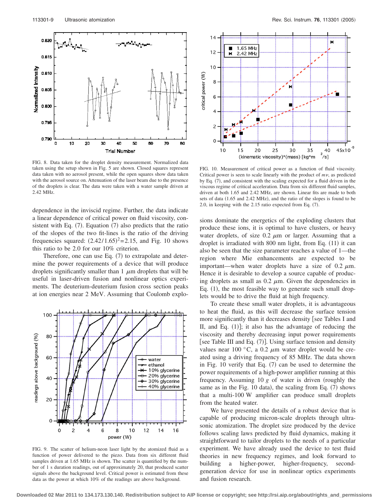

FIG. 8. Data taken for the droplet density measurement. Normalized data taken using the setup shown in Fig. 5 are shown. Closed squares represent data taken with no aerosol present, while the open squares show data taken with the aerosol source on. Attenuation of the laser beam due to the presence of the droplets is clear. The data were taken with a water sample driven at 2.42 MHz.

dependence in the inviscid regime. Further, the data indicate a linear dependence of critical power on fluid viscosity, consistent with Eq. (7). Equation (7) also predicts that the ratio of the slopes of the two fit-lines is the ratio of the driving frequencies squared:  $(2.42/1.65)^2 = 2.15$ , and Fig. 10 shows this ratio to be 2.0 for our 10% criterion.

Therefore, one can use Eq. (7) to extrapolate and determine the power requirements of a device that will produce droplets significantly smaller than  $1 \mu m$  droplets that will be useful in laser-driven fusion and nonlinear optics experiments. The deuterium-deuterium fusion cross section peaks at ion energies near 2 MeV. Assuming that Coulomb explo-



FIG. 9. The scatter of helium-neon laser light by the atomized fluid as a function of power delivered to the piezo. Data from six different fluid samples driven at 1.65 MHz is shown. The scatter is quantified by the number of 1 s duration readings, out of approximately 20, that produced scatter signals above the background level. Critical power is estimated from these data as the power at which 10% of the readings are above background.



FIG. 10. Measurement of critical power as a function of fluid viscosity. Critical power is seen to scale linearly with the product of  $mv$ , as predicted by Eq. (7), and consistent with the scaling expected for a fluid driven in the viscous regime of critical acceleration. Data from six different fluid samples, driven at both 1.65 and 2.42 MHz, are shown. Linear fits are made to both sets of data (1.65 and 2.42 MHz), and the ratio of the slopes is found to be 2.0, in keeping with the  $2.15$  ratio expected from Eq.  $(7)$ .

sions dominate the energetics of the exploding clusters that produce these ions, it is optimal to have clusters, or heavy water droplets, of size  $0.2 \mu m$  or larger. Assuming that a droplet is irradiated with 800 nm light, from Eq. (11) it can also be seen that the size parameter reaches a value of 1—the region where Mie enhancements are expected to be important—when water droplets have a size of 0.2  $\mu$ m. Hence it is desirable to develop a source capable of producing droplets as small as  $0.2 \mu$ m. Given the dependencies in Eq. (1), the most feasible way to generate such small droplets would be to drive the fluid at high frequency.

To create these small water droplets, it is advantageous to heat the fluid, as this will decrease the surface tension more significantly than it decreases density [see Tables I and II, and Eq.  $(1)$ ]; it also has the advantage of reducing the viscosity and thereby decreasing input power requirements [see Table III and Eq. (7)]. Using surface tension and density values near 100 °C, a 0.2  $\mu$ m water droplet would be created using a driving frequency of 85 MHz. The data shown in Fig. 10 verify that Eq. (7) can be used to determine the power requirements of a high-power amplifier running at this frequency. Assuming  $10 g$  of water is driven (roughly the same as in the Fig. 10 data), the scaling from Eq. (7) shows that a multi-100 W amplifier can produce small droplets from the heated water.

We have presented the details of a robust device that is capable of producing micron-scale droplets through ultrasonic atomization. The droplet size produced by the device follows scaling laws predicted by fluid dynamics, making it straightforward to tailor droplets to the needs of a particular experiment. We have already used the device to test fluid theories in new frequency regimes, and look forward to building a higher-power, higher-frequency, secondgeneration device for use in nonlinear optics experiments and fusion research.